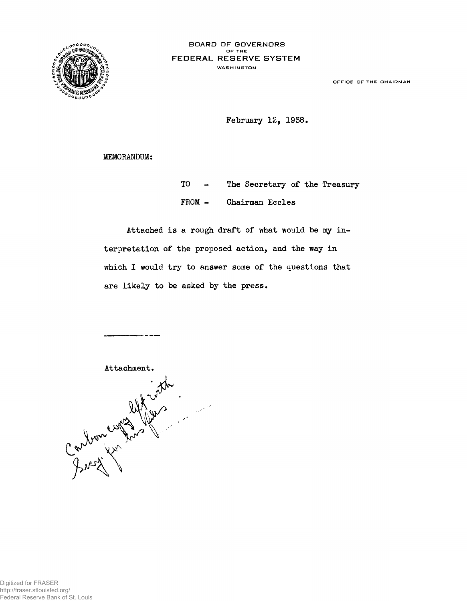

**OFFICE OF THE CHAIRMAN**

February 12, 1958.

MEMORANDUM:

TO - The Secretary of the Treasury FROM - Chairman Eccles

Attached is a rough draft of what would be my interpretation of the proposed action, and the way in which I would try to answer some of the questions that are likely to be asked by the press.

Carbon comptions in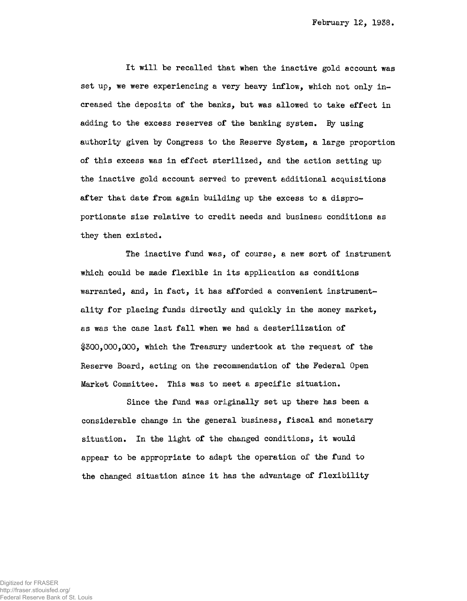It will be recalled that when the inactive gold account was set up, we were experiencing a very heavy inflow, which not only increased the deposits of the banks, but was allowed to take effect in adding to the excess reserves of the banking system. By using authority given by Congress to the Reserve System, a large proportion of this excess was in effect sterilized, end the action setting up the inactive gold account served to prevent additional acquisitions after that date from again building up the excess to a disproportionate size relative to credit needs and business conditions as they then existed.

The inactive fund was, of course, a new sort of instrument which could be made flexible in its application as conditions warranted, and, in fact, it has afforded a convenient instrumentality for placing funds directly and quickly in the money market, as was the case last fall when we had a desterilization of \$300,000,000, which the Treasury undertook at the request of the Reserve Board, acting on the recommendation of the Federal Open Market Committee. This was to meet a specific situation.

Since the fund was originally set up there has been a considerable change in the general business, fiscal and monetary situation. In the light of the changed conditions, it would appear to be appropriate to adapt the operation of the fund to the changed situation since it has the advantage of flexibility

Digitized for FRASER http://fraser.stlouisfed.org/ Federal Reserve Bank of St. Louis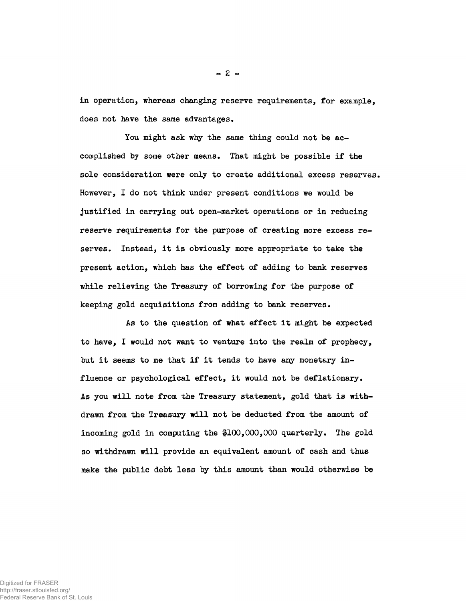in operation, whereas changing reserve requirements, for example, does not have the same advantages.

You might ask why the same thing could not be accomplished by some other means. That might be possible if the sole consideration were only to create additional excess reserves. However, I do not think under present conditions we would be justified in carrying out open-market operations or in reducing reserve requirements for the purpose of creating more excess reserves. Instead, it is obviously more appropriate to take the present action, which has the effect of adding to bank reserves while relieving the Treasury of borrowing for the purpose of keeping gold acquisitions from adding to bank reserves.

As to the question of what effect it might be expected to have, I would not want to venture into the realm of prophecy, but it seems to me that if it tends to have any monetary influence or psychological effect, it would not be deflationary. As you will note from the Treasury statement, gold that is withdrawn from the Treasury will not be deducted from the amount of incoming gold in computing the \$100,000,000 quarterly. The gold so withdrawn will provide an equivalent amount of cash and thus make the public debt less by this amount than would otherwise be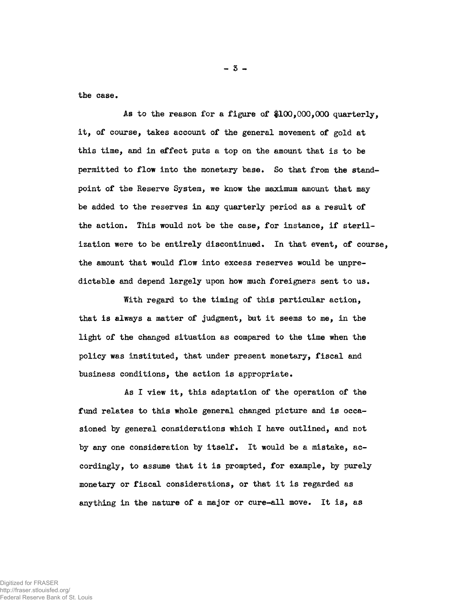the case.

As to the reason for a figure of #100,000,000 quarterly, it, of course, takes account of the general movement of gold at this time, and in effect puts a top on the amount that is to be permitted to flow into the monetary base. So that from the standpoint of the Reserve System, we know the maximum amount that may be added to the reserves in any quarterly period as a result of the action. This would not be the case, for instance, if sterilization were to be entirely discontinued. In that event, of course, the amount that would flow into excess reserves would be unpredictable and depend largely upon how much foreigners sent to us.

With regard to the timing of this particular action, that is always a matter of judgment, but it seems to me, in the light of the changed situation as compared to the time when the policy was instituted, that under present monetary, fiscal and business conditions, the action is appropriate.

As I view it, this adaptation of the operation of the fund relates to this whole general changed picture and is occasioned by general considerations which I have outlined, and not by any one consideration by itself. It would be a mistake, accordingly, to assume that it is prompted, for example, by purely monetary or fiscal considerations, or that it is regarded as anything in the nature of a major or cure-all move. It is, as

Digitized for FRASER http://fraser.stlouisfed.org/ Federal Reserve Bank of St. Louis - 5 -